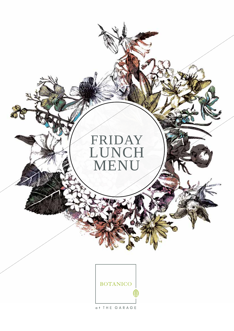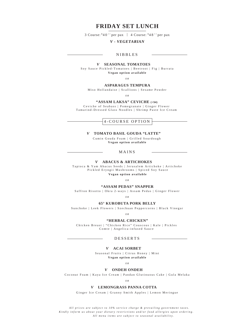# **FRIDAY SET LUNCH**

 $3$  Course:  $$40^{++}$  per pax  $\mid$  4 Course:  $$48^{++}$  per pax

# *V - VEGETARIAN*

# NIBBLES

## *V* **SEASONAL TOMATOES**

Soy Sauce Pickled-Tomatoes | Beetroot | Fig | Burrata **Vegan option available**

*O R*

# **ASPARAGUS TEMPURA**

Miso Hollandaise | Scallions | Sesame Powder

*O R*

# **"ASSAM LAKSA" CEVICHE (+\$4)**

Ceviche of Seabass | Pomegranate | Ginger Flower Tamarind-Dressed Glass Noodles | Shrimp Paste Ice Cream

4-COURSE OPTION

## *V* **TOMATO BASIL GOUDA "LATTE"**

Cumin Gouda Foam | Grilled Sourdough **Vegan option available**

MAINS

## *V* **ABACUS & ARTICHOKES**

Tapioca & Yam Abacus Seeds | Jerusalem Artichoke | Artichoke Pickled Eryngii Mushrooms | Spiced Soy Sauce **Vegan option available**

*O R*

#### **"ASSAM PEDAS" SNAPPER**

Saffron Risotto | Okra 2-ways | Assam Pedas | Ginger Flower

*O R*

### **65° KUROBUTA PORK BELLY**

Sunchoke | Leek Flowers | Szechuan Peppercorns | Black Vinegar

*O R*

#### **"HERBAL CHICKEN"**

Chicken Breast | "Chicken Rice" Couscous | Kale | Pickles Comte | Angelica-infused Sauce

DESSERTS

### *V* **ACAI SORBET**

Seasonal Fruits | Citrus Honey | Mint **Vegan option available**

*O R*

## *V* **ONDEH ONDEH**

Coconut Foam | Kaya Ice Cream | Pandan Glutinuous Cake | Gula Melaka

*O R*

### *V* **LEMONGRASS PANNA COTTA**

Ginger Ice Cream | Granny Smith Apples | Lemon Meringue

All prices are subject to 10% service charge & prevailing government taxes. Kindly inform us about your dietary restrictions and/or food allergies upon ordering. *All m e n u ite ms a r e s u b ject to s e a s o n a l availabilit y .*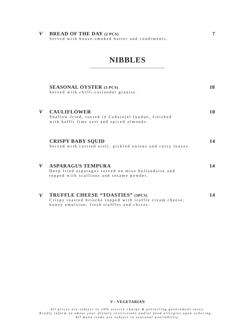**BREAD OF THE DAY** (2 PCS) **7**<br>Served with house-smoked butter and condiments.

# **NIBBLES**

|   | <b>SEASONAL OYSTER (3 PCS)</b><br>Served with chilli-coriander granita.                                                                           | 18 |
|---|---------------------------------------------------------------------------------------------------------------------------------------------------|----|
| V | <b>CAULIFLOWER</b><br>Shallow-fried, tossed in Cañarejal fondue, finished<br>with kaffir lime zest and spiced almonds.                            | 10 |
|   | <b>CRISPY BABY SOUID</b><br>Served with curried aioli, pickled onions and curry leaves.                                                           | 14 |
| V | <b>ASPARAGUS TEMPURA</b><br>Deep fried asparagus served on miso hollandaise and<br>topped with scallions and sesame powder.                       | 14 |
| V | <b>TRUFFLE CHEESE "TOASTIES" (3PCS)</b><br>Crispy toasted brioche topped with truffle cream cheese,<br>honey emulsion, fresh truffles and chives. | 14 |

#### **V - VEGETARIAN**

. All prices are subject to 10% service charge & prevailing government taxes<br>Kindly inform us about your dietary restrictions and/or food allergies upon ordering. All menu items are subject to seasonal availability.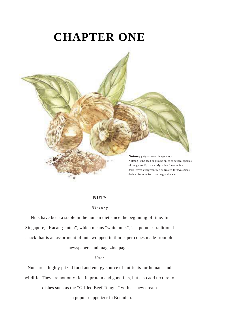# **CHAPTER ONE**



### **NUTS**

#### *H i s t o r y*

Nuts have been a staple in the human diet since the beginning of time. In Singapore, "Kacang Puteh", which means "white nuts", is a popular traditional snack that is an assortment of nuts wrapped in thin paper cones made from old

newspapers and magazine pages.

#### *U s e s*

Nuts are a highly prized food and energy source of nutrients for humans and wildlife. They are not only rich in protein and good fats, but also add texture to

dishes such as the "Grilled Beef Tongue" with cashew cream

– a popular appetizer in Botanico.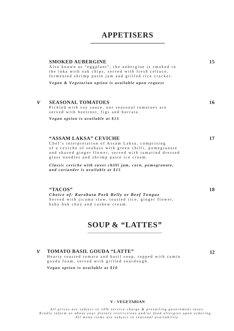# **APPETISERS**

| <b>SMOKED AUBERGINE</b>                                   | 15 |
|-----------------------------------------------------------|----|
| Also known as "eggplant", the aubergine is smoked in      |    |
| the inka with oak chips, served with fresh celtuce,       |    |
| fermented shrimp paste jam and grilled rice cracker.      |    |
| Vegan & Vegetarian option is available upon request       |    |
|                                                           |    |
|                                                           |    |
| <b>SEASONAL TOMATOES</b>                                  | 16 |
| Pickled with soy sauce, our seasonal tomatoes are         |    |
| served with beetroot, figs and burrata.                   |    |
|                                                           |    |
| Vegan option is available at \$15                         |    |
|                                                           |    |
|                                                           |    |
| "ASSAM LAKSA" CEVICHE                                     | 17 |
| Chef's interpretation of Assam Laksa, comprising          |    |
| of a ceviche of seabass with green chilli, pomegranate    |    |
| and shaved ginger flower, served with tamarind dressed    |    |
| glass noodles and shrimp paste ice cream.                 |    |
| Classic ceviche with sweet chilli jam, corn, pomegranate, |    |
| and coriander is available at \$15                        |    |
|                                                           |    |

**"TACOS" 18** *Choice of: Kurobuta Pork Belly or Beef Tongue* Served with jicama slaw, toasted rice, ginger flower, baby bok choy and cashew cream.

# **SOUP & "LATTES"**

#### $\mathbf{V}$ **TOMATO BASIL GOUDA "LATTE" 12**

Hearty roasted tomato and basil soup, topped with cumin gouda foam, served with grilled sourdough.

*Vegan option is available at \$10*

 $\bf{V}$ 

#### **V - VEGETARIAN**

All prices are subject to 10% service charge & prevailing government taxes. Extractions and/or food allergies upon ordering.<br>Kindly inform us about your dietary restrictions and/or food allergies upon ordering. All menu items are subject to seasonal availability.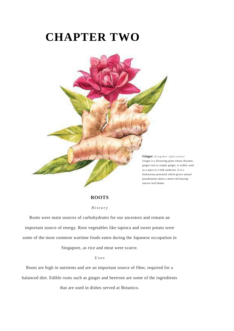# **CHAPTER TWO**



**ROOTS**

#### *H i s t o r y*

Roots were main sources of carbohydrates for our ancestors and remain an important source of energy. Root vegetables like tapioca and sweet potato were some of the most common wartime foods eaten during the Japanese occupation in

Singapore, as rice and meat were scarce.

*U s e s*

Roots are high in nutrients and are an important source of fiber, required for a balanced diet. Edible roots such as ginger and beetroot are some of the ingredients

that are used in dishes served at Botanico.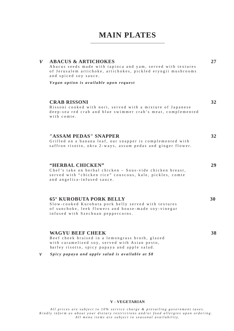# **MAIN PLATES**

| <b>ABACUS &amp; ARTICHOKES</b><br>Abacus seeds made with tapioca and yam, served with textures<br>of Jerusalem artichoke, artichokes, pickled eryngii mushrooms<br>and spiced soy sauce. | 27 |  |
|------------------------------------------------------------------------------------------------------------------------------------------------------------------------------------------|----|--|
| Vegan option is available upon request                                                                                                                                                   |    |  |
| <b>CRAB RISSONI</b><br>Rissoni cooked with nori, served with a mixture of Japanese<br>deep-sea red crab and blue swimmer crab's meat, complemented<br>with comte.                        | 32 |  |
| "ASSAM PEDAS" SNAPPER<br>Grilled on a banana leaf, our snapper is complemented with<br>saffron risotto, okra 2-ways, assam pedas and ginger flower.                                      | 32 |  |
| "HERBAL CHICKEN"<br>Chef's take on herbal chicken - Sous-vide chicken breast,<br>served with "chicken rice" couscous, kale, pickles, comte<br>and angelica-infused sauce.                | 29 |  |
| <b>65° KUROBUTA PORK BELLY</b><br>Slow-cooked Kurobuta pork belly served with textures<br>of sunshoke, leak flowers and house made soy vinegar                                           | 30 |  |

of sunchoke, leek flowers and house-made soy-vinegar infused with Szechuan peppercorns.

#### **WAGYU BEEF CHEEK 38**

 $\overline{V}$ 

Beef cheek braised in a lemongrass broth, glazed with caramelized soy, served with Asian pesto, barley risotto, spicy papaya and apple salad.

*S picy p a p a y a a nd app le s a l a d is a v a i l a b le a t \$ 8*  $\mathbf{V}$ 

#### **V - VEGETARIAN**

All prices are subject to 10% service charge & prevailing government taxes. Kindly inform us about your dietary restrictions and/or food allergies upon ordering. All menu items are subject to seasonal availability.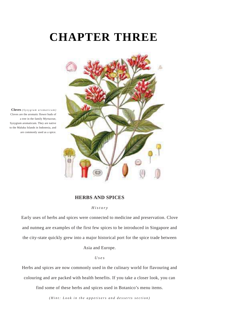# **CHAPTER THREE**



**Cloves** *( S y z ygiu m a r o m aticu m )* Cloves are the aromatic flower buds of a tree in the family Myrtaceae, Syzygium aromaticum. They are native to the Maluku Islands in Indonesia, and are commonly used as a spice.

### **HERBS AND SPICES**

#### *H i s t o r y*

Early uses of herbs and spices were connected to medicine and preservation. Clove and nutmeg are examples of the first few spices to be introduced in Singapore and the city-state quickly grew into a major historical port for the spice trade between

Asia and Europe.

#### *U s e s*

Herbs and spices are now commonly used in the culinary world for flavouring and colouring and are packed with health benefits. If you take a closer look, you can

find some of these herbs and spices used in Botanico's menu items.

(Hint: Look in the appetisers and desserts section)